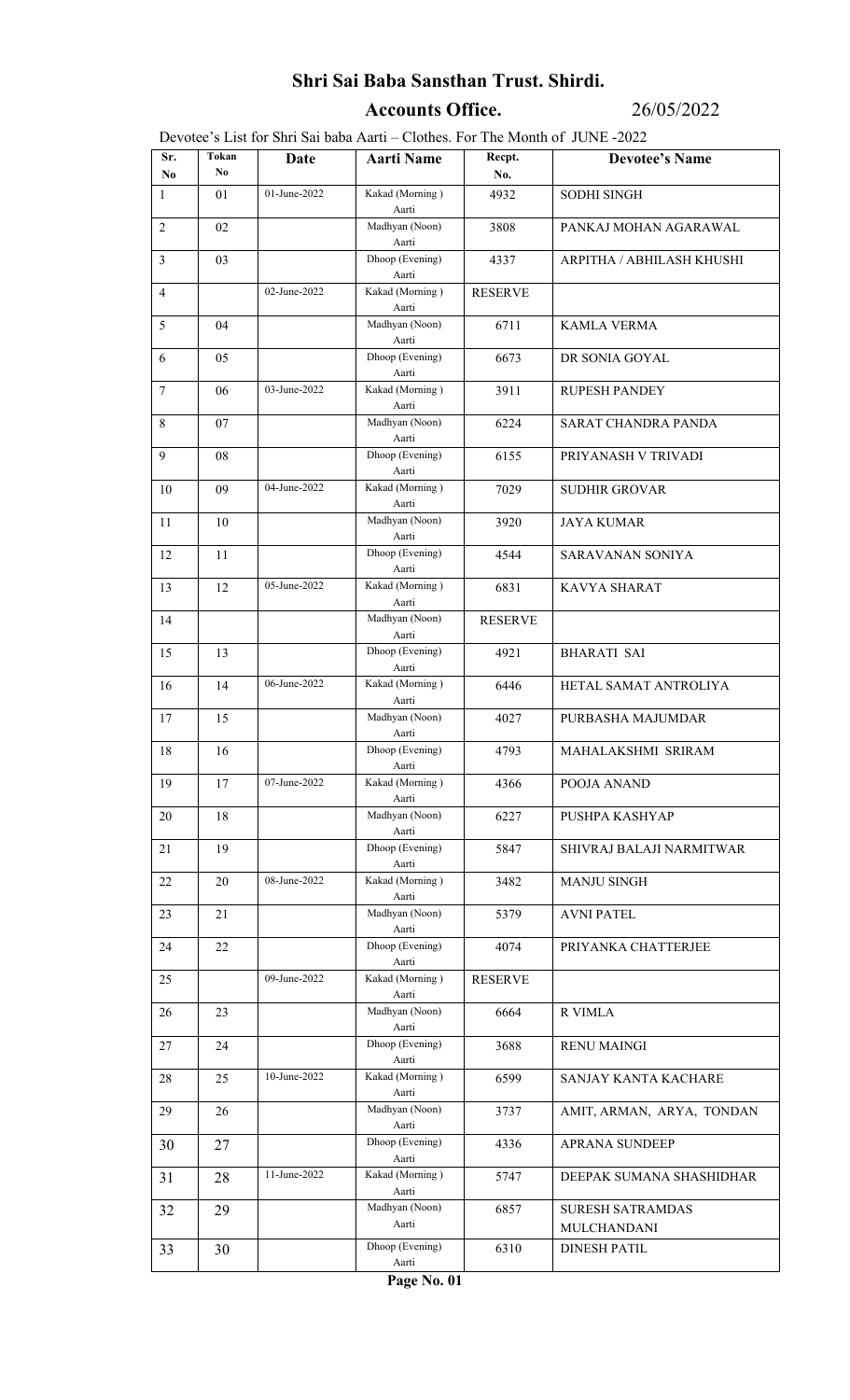## Shri Sai Baba Sansthan Trust. Shirdi.

Accounts Office. 26/05/2022

Devotee's List for Shri Sai baba Aarti – Clothes. For The Month of JUNE -2022

| Sr.<br>No.     | Tokan<br>No. | Date         | <b>Aarti Name</b>                 | Recpt.<br>No.  | <b>Devotee's Name</b>     |
|----------------|--------------|--------------|-----------------------------------|----------------|---------------------------|
| $\mathbf{1}$   | 01           | 01-June-2022 | Kakad (Morning)                   | 4932           | <b>SODHI SINGH</b>        |
| $\overline{2}$ | 02           |              | Aarti<br>Madhyan (Noon)           | 3808           | PANKAJ MOHAN AGARAWAL     |
| $\mathfrak{Z}$ | 03           |              | Aarti<br>Dhoop (Evening)          | 4337           | ARPITHA / ABHILASH KHUSHI |
|                |              | 02-June-2022 | Aarti<br>Kakad (Morning)          |                |                           |
| $\overline{4}$ |              |              | Aarti                             | <b>RESERVE</b> |                           |
| 5              | 04           |              | Madhyan (Noon)<br>Aarti           | 6711           | <b>KAMLA VERMA</b>        |
| 6              | 05           |              | Dhoop (Evening)<br>Aarti          | 6673           | DR SONIA GOYAL            |
| $\tau$         | 06           | 03-June-2022 | Kakad (Morning)<br>Aarti          | 3911           | <b>RUPESH PANDEY</b>      |
| 8              | 07           |              | Madhyan (Noon)<br>Aarti           | 6224           | SARAT CHANDRA PANDA       |
| 9              | 08           |              | Dhoop (Evening)                   | 6155           | PRIYANASH V TRIVADI       |
| 10             | 09           | 04-June-2022 | Aarti<br>Kakad (Morning)          | 7029           | <b>SUDHIR GROVAR</b>      |
| 11             | 10           |              | Aarti<br>Madhyan (Noon)           | 3920           | <b>JAYA KUMAR</b>         |
| 12             | 11           |              | Aarti<br>Dhoop (Evening)          | 4544           | SARAVANAN SONIYA          |
| 13             | 12           | 05-June-2022 | Aarti<br>Kakad (Morning)          | 6831           | <b>KAVYA SHARAT</b>       |
|                |              |              | Aarti                             |                |                           |
| 14             |              |              | Madhyan (Noon)<br>Aarti           | <b>RESERVE</b> |                           |
| 15             | 13           |              | Dhoop (Evening)<br>Aarti          | 4921           | <b>BHARATI SAI</b>        |
| 16             | 14           | 06-June-2022 | Kakad (Morning)<br>Aarti          | 6446           | HETAL SAMAT ANTROLIYA     |
| 17             | 15           |              | Madhyan (Noon)<br>Aarti           | 4027           | PURBASHA MAJUMDAR         |
| 18             | 16           |              | Dhoop (Evening)<br>Aarti          | 4793           | MAHALAKSHMI SRIRAM        |
| 19             | 17           | 07-June-2022 | Kakad (Morning)<br>Aarti          | 4366           | POOJA ANAND               |
| 20             | 18           |              | Madhyan (Noon)<br>Aarti           | 6227           | PUSHPA KASHYAP            |
| 21             | 19           |              | Dhoop (Evening)<br>Aarti          | 5847           | SHIVRAJ BALAJI NARMITWAR  |
| 22             | 20           | 08-June-2022 | Kakad (Morning)<br>Aarti          | 3482           | <b>MANJU SINGH</b>        |
| 23             | 21           |              | Madhyan (Noon)<br>Aarti           | 5379           | <b>AVNI PATEL</b>         |
| 24             | 22           |              | Dhoop (Evening)                   | 4074           | PRIYANKA CHATTERJEE       |
| 25             |              | 09-June-2022 | Aarti<br>Kakad (Morning)<br>Aarti | <b>RESERVE</b> |                           |
| 26             | 23           |              | Madhyan (Noon)<br>Aarti           | 6664           | <b>R VIMLA</b>            |
| 27             | 24           |              | Dhoop (Evening)<br>Aarti          | 3688           | <b>RENU MAINGI</b>        |
| 28             | 25           | 10-June-2022 | Kakad (Morning)<br>Aarti          | 6599           | SANJAY KANTA KACHARE      |
| 29             | 26           |              | Madhyan (Noon)<br>Aarti           | 3737           | AMIT, ARMAN, ARYA, TONDAN |
| 30             | 27           |              | Dhoop (Evening)<br>Aarti          | 4336           | <b>APRANA SUNDEEP</b>     |
| 31             | 28           | 11-June-2022 | Kakad (Morning)<br>Aarti          | 5747           | DEEPAK SUMANA SHASHIDHAR  |
| 32             | 29           |              | Madhyan (Noon)                    | 6857           | <b>SURESH SATRAMDAS</b>   |
|                |              |              | Aarti<br>Dhoop (Evening)          |                | MULCHANDANI               |
| 33             | 30           |              | Aarti                             | 6310           | <b>DINESH PATIL</b>       |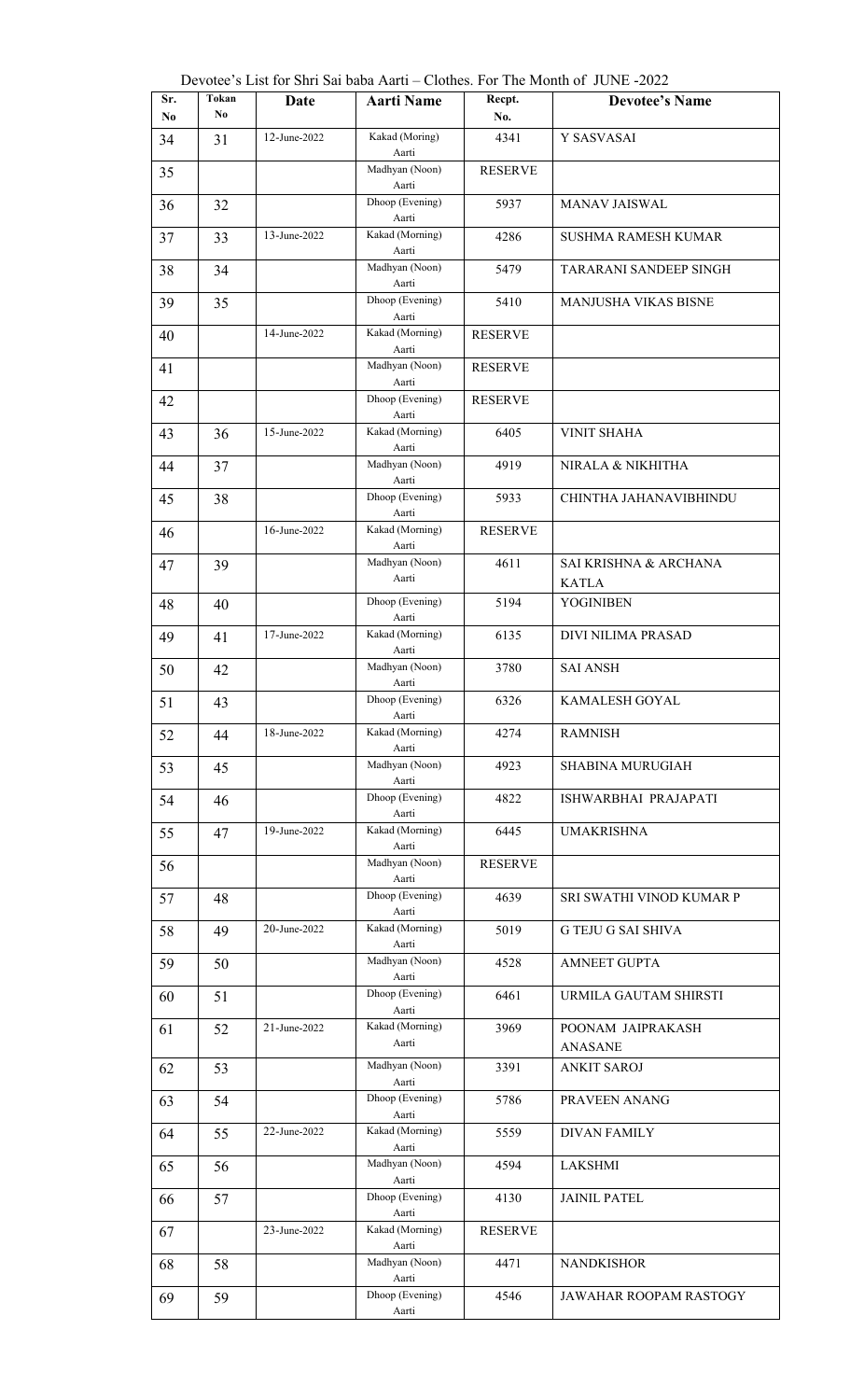| Tokan<br>Sr. |     | Date         | Devotee's List for Shri Sai baba Aarti – Clothes. For The Month of JUNE -2022<br><b>Aarti Name</b> | Recpt.         | <b>Devotee's Name</b>                |
|--------------|-----|--------------|----------------------------------------------------------------------------------------------------|----------------|--------------------------------------|
| No.          | No. |              |                                                                                                    | No.            |                                      |
| 34           | 31  | 12-June-2022 | Kakad (Moring)<br>Aarti                                                                            | 4341           | Y SASVASAI                           |
| 35           |     |              | Madhyan (Noon)<br>Aarti                                                                            | <b>RESERVE</b> |                                      |
| 36           | 32  |              | Dhoop (Evening)<br>Aarti                                                                           | 5937           | <b>MANAV JAISWAL</b>                 |
| 37           | 33  | 13-June-2022 | Kakad (Morning)<br>Aarti                                                                           | 4286           | <b>SUSHMA RAMESH KUMAR</b>           |
| 38           | 34  |              | Madhyan (Noon)<br>Aarti                                                                            | 5479           | <b>TARARANI SANDEEP SINGH</b>        |
| 39           | 35  |              | Dhoop (Evening)<br>Aarti                                                                           | 5410           | MANJUSHA VIKAS BISNE                 |
| 40           |     | 14-June-2022 | Kakad (Morning)<br>Aarti                                                                           | <b>RESERVE</b> |                                      |
| 41           |     |              | Madhyan (Noon)<br>Aarti                                                                            | <b>RESERVE</b> |                                      |
| 42           |     |              | Dhoop (Evening)<br>Aarti                                                                           | <b>RESERVE</b> |                                      |
| 43           | 36  | 15-June-2022 | Kakad (Morning)<br>Aarti                                                                           | 6405           | <b>VINIT SHAHA</b>                   |
| 44           | 37  |              | Madhyan (Noon)<br>Aarti                                                                            | 4919           | NIRALA & NIKHITHA                    |
| 45           | 38  |              | Dhoop (Evening)<br>Aarti                                                                           | 5933           | CHINTHA JAHANAVIBHINDU               |
| 46           |     | 16-June-2022 | Kakad (Morning)<br>Aarti                                                                           | <b>RESERVE</b> |                                      |
| 47           | 39  |              | Madhyan (Noon)<br>Aarti                                                                            | 4611           | SAI KRISHNA & ARCHANA                |
| 48           | 40  |              | Dhoop (Evening)                                                                                    | 5194           | <b>KATLA</b><br><b>YOGINIBEN</b>     |
| 49           | 41  | 17-June-2022 | Aarti<br>Kakad (Morning)                                                                           | 6135           | DIVI NILIMA PRASAD                   |
| 50           | 42  |              | Aarti<br>Madhyan (Noon)                                                                            | 3780           | <b>SAI ANSH</b>                      |
| 51           | 43  |              | Aarti<br>Dhoop (Evening)                                                                           | 6326           | <b>KAMALESH GOYAL</b>                |
| 52           | 44  | 18-June-2022 | Aarti<br>Kakad (Morning)                                                                           | 4274           | <b>RAMNISH</b>                       |
| 53           | 45  |              | Aarti<br>Madhyan (Noon)                                                                            | 4923           | <b>SHABINA MURUGIAH</b>              |
| 54           | 46  |              | Aarti<br>Dhoop (Evening)                                                                           | 4822           | ISHWARBHAI PRAJAPATI                 |
| 55           | 47  | 19-June-2022 | Aarti<br>Kakad (Morning)                                                                           | 6445           | <b>UMAKRISHNA</b>                    |
| 56           |     |              | Aarti<br>Madhyan (Noon)                                                                            | <b>RESERVE</b> |                                      |
| 57           | 48  |              | Aarti<br>Dhoop (Evening)                                                                           | 4639           | SRI SWATHI VINOD KUMAR P             |
| 58           | 49  | 20-June-2022 | Aarti<br>Kakad (Morning)<br>Aarti                                                                  | 5019           | <b>G TEJU G SAI SHIVA</b>            |
| 59           | 50  |              | Madhyan (Noon)<br>Aarti                                                                            | 4528           | <b>AMNEET GUPTA</b>                  |
| 60           | 51  |              | Dhoop (Evening)<br>Aarti                                                                           | 6461           | URMILA GAUTAM SHIRSTI                |
| 61           | 52  | 21-June-2022 | Kakad (Morning)<br>Aarti                                                                           | 3969           | POONAM JAIPRAKASH                    |
| 62           | 53  |              | Madhyan (Noon)                                                                                     | 3391           | <b>ANASANE</b><br><b>ANKIT SAROJ</b> |
| 63           | 54  |              | Aarti<br>Dhoop (Evening)                                                                           | 5786           | PRAVEEN ANANG                        |
| 64           | 55  | 22-June-2022 | Aarti<br>Kakad (Morning)                                                                           | 5559           | <b>DIVAN FAMILY</b>                  |
| 65           | 56  |              | Aarti<br>Madhyan (Noon)                                                                            | 4594           | <b>LAKSHMI</b>                       |
| 66           | 57  |              | Aarti<br>Dhoop (Evening)                                                                           | 4130           | <b>JAINIL PATEL</b>                  |
| 67           |     | 23-June-2022 | Aarti<br>Kakad (Morning)                                                                           | <b>RESERVE</b> |                                      |
| 68           | 58  |              | Aarti<br>Madhyan (Noon)                                                                            | 4471           | <b>NANDKISHOR</b>                    |
| 69           | 59  |              | Aarti<br>Dhoop (Evening)                                                                           | 4546           | JAWAHAR ROOPAM RASTOGY               |
|              |     |              | Aarti                                                                                              |                |                                      |